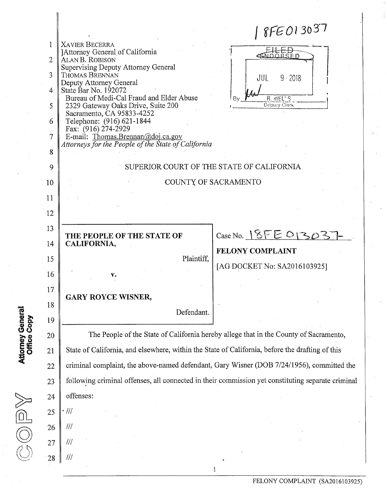$8FE013037$ **1 XAVIER BECERRA**  ] Attorney General of California **2 ALANB. ROBISON**  Supervising Deputy Attorney General **3 THOMAS BRENNAN**  *a*  **JUL 5 • 2018**  Deputy Attorney General 4 State Bar No. 192072<br>Bureau of Medi-Cal Fraud and Elder Abuse Bureau of Medi-Cal Fraud and Elder Abuse Bureau of Medi-Cal Fraud and Elder Abuse  $\begin{array}{c|c}\n1 & 8 \\
1 & 2329 \\
\hline\n\end{array}$  Clerk Deputy Clerk Sacramento, CA 95833-4252 6 Telephone: (916)621-1844 Fax: (916) 274-2929 7 E-mail: Thomas.Brennan@doi.ca.gov *Attorneys for the People of the State of California*  **8**  SUPERIOR COURT OF THE STATE OF CALIFORNIA COUNTX OF SACRAMENTO 9 10 11 12 **13 THE PEOPLE OF THE STATE OF**  $\qquad$  $\qquad$  **Case No.**  $\qquad$  $\qquad$  $\qquad$  $\qquad$  $\qquad$  $\qquad$  $\qquad$  $\qquad$  $\qquad$  $\qquad$  $\qquad$  $\qquad$  $\qquad$  $\qquad$  $\qquad$  $\qquad$  $\qquad$  $\qquad$  $\qquad$  $\qquad$  $\qquad$  $\qquad$  $\qquad$  $\qquad$  $\qquad$  $\qquad$  $\qquad$  $\qquad$  **\qquad 14 CALIFORNIA, FELONY COMPLAINT**  [AG DOCKET No: SA2016103925] **15** Plaintiff,  $16 \parallel v.$ **17 GARY ROYCE WISNER,**  18 Defendant. **® >» in e a** <sup>19</sup> **o o «PO**  20 The People of the State of California hereby allege that in the County of Sacramento, State of California, and elsewhere, within the State of California, before the drafting of this criminal complaint, the above-named defendant, Gary Wisner (DOB 7/24/1956), committed the following criminal offenses, all connected in their commission yet constituting separate criminal offenses:  $\frac{2}{3}$ **22**  23 24  $\boxed{0}$   $25$   $\frac{1}{2}$ **26 /// 27** /// **28**  $\vert$  /// l

**\*\*** *<* 

*(?* 

**FELONY COMPLAINT (SA2016103925)**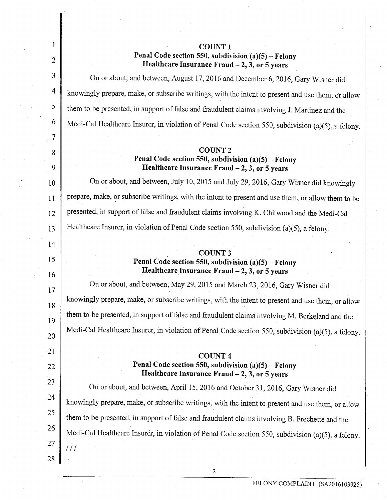| 1              | <b>COUNT 1</b>                                                                                                             |  |  |
|----------------|----------------------------------------------------------------------------------------------------------------------------|--|--|
| 2              | Penal Code section 550, subdivision $(a)(5)$ – Felony<br>Healthcare Insurance Fraud - 2, 3, or 5 years                     |  |  |
| 3              | On or about, and between, August 17, 2016 and December 6, 2016, Gary Wisner did                                            |  |  |
| 4              | knowingly prepare, make, or subscribe writings, with the intent to present and use them, or allow                          |  |  |
| $\overline{5}$ | them to be presented, in support of false and fraudulent claims involving J. Martinez and the                              |  |  |
| 6              | Medi-Cal Healthcare Insurer, in violation of Penal Code section 550, subdivision (a)(5), a felony.                         |  |  |
| 7              |                                                                                                                            |  |  |
| 8<br>9         | <b>COUNT 2</b><br>Penal Code section 550, subdivision $(a)(5)$ – Felony<br>Healthcare Insurance Fraud $-2$ , 3, or 5 years |  |  |
| 10             | On or about, and between, July 10, 2015 and July 29, 2016, Gary Wisner did knowingly                                       |  |  |
| 11             | prepare, make, or subscribe writings, with the intent to present and use them, or allow them to be                         |  |  |
| 12             | presented, in support of false and fraudulent claims involving K. Chitwood and the Medi-Cal                                |  |  |
| 13             | Healthcare Insurer, in violation of Penal Code section 550, subdivision (a)(5), a felony.                                  |  |  |
| 14             |                                                                                                                            |  |  |
| 15<br>16       | <b>COUNT 3</b><br>Penal Code section 550, subdivision $(a)(5)$ – Felony<br>Healthcare Insurance Fraud $-2$ , 3, or 5 years |  |  |
| 17             | On or about, and between, May 29, 2015 and March 23, 2016, Gary Wisner did                                                 |  |  |
| 18             | knowingly prepare, make, or subscribe writings, with the intent to present and use them, or allow                          |  |  |
| 19             | them to be presented, in support of false and fraudulent claims involving M. Berkeland and the                             |  |  |
| 20             | Medi-Cal Healthcare Insurer, in violation of Penal Code section 550, subdivision (a)(5), a felony.                         |  |  |
| 21             | <b>COUNT4</b>                                                                                                              |  |  |
| 22             | Penal Code section 550, subdivision $(a)(5)$ – Felony<br>Healthcare Insurance Fraud $-2$ , 3, or 5 years                   |  |  |
| 23             | On or about, and between, April 15, 2016 and October 31, 2016, Gary Wisner did                                             |  |  |
| 24             | knowingly prepare, make, or subscribe writings, with the intent to present and use them, or allow                          |  |  |
| 25             | them to be presented, in support of false and fraudulent claims involving B. Frechette and the                             |  |  |
| 26             | Medi-Cal Healthcare Insurer, in violation of Penal Code section 550, subdivision (a)(5), a felony.                         |  |  |
| 27             | 111                                                                                                                        |  |  |
| 28             |                                                                                                                            |  |  |

2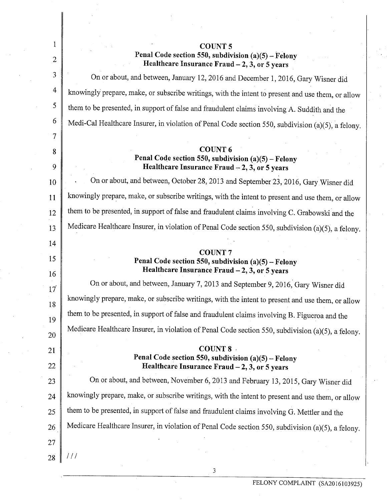| 1               | <b>COUNT 5</b>                                                                                                                       |  |  |  |
|-----------------|--------------------------------------------------------------------------------------------------------------------------------------|--|--|--|
| $\overline{2}$  | Penal Code section 550, subdivision $(a)(5)$ – Felony<br>Healthcare Insurance Fraud - 2, 3, or 5 years                               |  |  |  |
| 3               | On or about, and between, January 12, 2016 and December 1, 2016, Gary Wisner did                                                     |  |  |  |
| 4               | knowingly prepare, make, or subscribe writings, with the intent to present and use them, or allow                                    |  |  |  |
| 5               | them to be presented, in support of false and fraudulent claims involving A. Suddith and the                                         |  |  |  |
| 6               | Medi-Cal Healthcare Insurer, in violation of Penal Code section 550, subdivision (a)(5), a felony.                                   |  |  |  |
| 7               |                                                                                                                                      |  |  |  |
| 8<br>9          | <b>COUNT 6</b><br>Penal Code section 550, subdivision $(a)(5)$ – Felony<br>Healthcare Insurance Fraud $-2$ , 3, or 5 years           |  |  |  |
| 10              | On or about, and between, October 28, 2013 and September 23, 2016, Gary Wisner did                                                   |  |  |  |
| 11              | knowingly prepare, make, or subscribe writings, with the intent to present and use them, or allow                                    |  |  |  |
| 12              | them to be presented, in support of false and fraudulent claims involving C. Grabowski and the                                       |  |  |  |
| 13              | Medicare Healthcare Insurer, in violation of Penal Code section 550, subdivision (a)(5), a felony.                                   |  |  |  |
| 14              |                                                                                                                                      |  |  |  |
| 15<br>16        | <b>COUNT7</b><br>Penal Code section 550, subdivision (a)(5) - Felony<br>Healthcare Insurance Fraud $-2$ , 3, or 5 years              |  |  |  |
| 17 <sup>′</sup> | On or about, and between, January 7, 2013 and September 9, 2016, Gary Wisner did                                                     |  |  |  |
| 18              | knowingly prepare, make, or subscribe writings, with the intent to present and use them, or allow                                    |  |  |  |
|                 | them to be presented, in support of false and fraudulent claims involving B. Figueroa and the                                        |  |  |  |
| 19              | Medicare Healthcare Insurer, in violation of Penal Code section 550, subdivision (a)(5), a felony.                                   |  |  |  |
| 20              | <b>COUNT 8</b>                                                                                                                       |  |  |  |
| 21              | Penal Code section 550, subdivision $(a)(5)$ – Felony                                                                                |  |  |  |
| 22              | Healthcare Insurance Fraud $-2$ , 3, or 5 years<br>On or about, and between, November 6, 2013 and February 13, 2015, Gary Wisner did |  |  |  |
| 23              |                                                                                                                                      |  |  |  |
| 24              | knowingly prepare, make, or subscribe writings, with the intent to present and use them, or allow                                    |  |  |  |
| 25              | them to be presented, in support of false and fraudulent claims involving G. Mettler and the                                         |  |  |  |
| 26              | Medicare Healthcare Insurer, in violation of Penal Code section 550, subdivision (a)(5), a felony.                                   |  |  |  |
| 27              |                                                                                                                                      |  |  |  |
| 28              | 111                                                                                                                                  |  |  |  |

**3**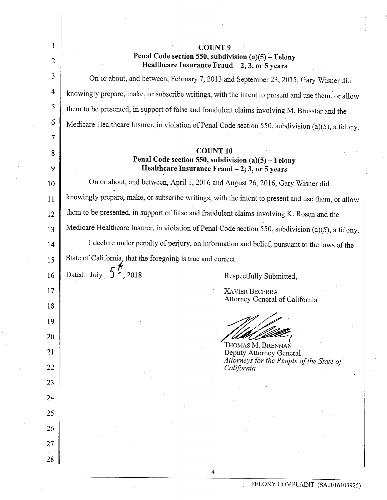| $\mathbf{1}$   | COUNT 9                                                                                                |  |  |  |
|----------------|--------------------------------------------------------------------------------------------------------|--|--|--|
| $\overline{2}$ | Penal Code section 550, subdivision $(a)(5)$ – Felony<br>Healthcare Insurance Fraud - 2, 3, or 5 years |  |  |  |
| 3              | On or about, and between, February 7, 2013 and September 23, 2015, Gary Wisner did                     |  |  |  |
| $\overline{4}$ | knowingly prepare, make, or subscribe writings, with the intent to present and use them, or allow      |  |  |  |
| 5              | them to be presented, in support of false and fraudulent claims involving M. Brusstar and the          |  |  |  |
| 6              | Medicare Healthcare Insurer, in violation of Penal Code section 550, subdivision (a)(5), a felony.     |  |  |  |
| 7              |                                                                                                        |  |  |  |
| 8              | <b>COUNT 10</b>                                                                                        |  |  |  |
| 9              | Penal Code section 550, subdivision (a)(5) - Felony<br>Healthcare Insurance Fraud - 2, 3, or 5 years   |  |  |  |
| 10             | On or about, and between, April 1, 2016 and August 26, 2016, Gary Wisner did                           |  |  |  |
| 11             | knowingly prepare, make, or subscribe writings, with the intent to present and use them, or allow      |  |  |  |
| 12             | them to be presented, in support of false and fraudulent claims involving K. Rosen and the             |  |  |  |
| 13             | Medicare Healthcare Insurer, in violation of Penal Code section 550, subdivision (a)(5), a felony.     |  |  |  |
| 14             | I declare under penalty of perjury, on information and belief, pursuant to the laws of the             |  |  |  |
| 15             | State of California, that the foregoing is true and correct.                                           |  |  |  |
| 16             | Dated: July $\bigcup$ $\bigcup$ 2018<br>Respectfully Submitted,                                        |  |  |  |
| 17             | <b>XAVIER BECERRA</b>                                                                                  |  |  |  |
| 18             | Attorney General of California                                                                         |  |  |  |
| 19             |                                                                                                        |  |  |  |
| 20             |                                                                                                        |  |  |  |
| 21             | Thomas M. Brennan<br>Deputy Attorney General                                                           |  |  |  |
| 22             | Attorneys for the People of the State of<br>California                                                 |  |  |  |
| 23             |                                                                                                        |  |  |  |
| 24             |                                                                                                        |  |  |  |
| 25             |                                                                                                        |  |  |  |
| 26             |                                                                                                        |  |  |  |
|                |                                                                                                        |  |  |  |
| 27             |                                                                                                        |  |  |  |
| 28             |                                                                                                        |  |  |  |

**4**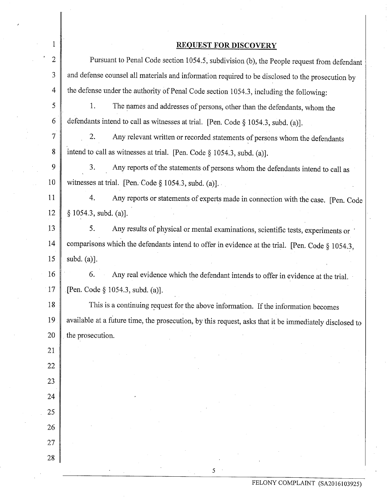## **REQUEST FOR DISCOVERY**

|                | <b>REPORT FOR DISCO / ERT</b>                                                                          |  |  |  |  |
|----------------|--------------------------------------------------------------------------------------------------------|--|--|--|--|
| $\overline{2}$ | Pursuant to Penal Code section 1054.5, subdivision (b), the People request from defendant              |  |  |  |  |
| 3              | and defense counsel all materials and information required to be disclosed to the prosecution by       |  |  |  |  |
| $\overline{4}$ | the defense under the authority of Penal Code section 1054.3, including the following:                 |  |  |  |  |
| 5              | 1.<br>The names and addresses of persons, other than the defendants, whom the                          |  |  |  |  |
| 6              | defendants intend to call as witnesses at trial. [Pen. Code § 1054.3, subd. (a)].                      |  |  |  |  |
| $\tau$         | 2.<br>Any relevant written or recorded statements of persons whom the defendants                       |  |  |  |  |
| 8              | intend to call as witnesses at trial. [Pen. Code $\S$ 1054.3, subd. (a)].                              |  |  |  |  |
| 9              | 3.<br>Any reports of the statements of persons whom the defendants intend to call as                   |  |  |  |  |
| 10             | witnesses at trial. [Pen. Code $\S 1054.3$ , subd. (a)].                                               |  |  |  |  |
| 11             | 4.<br>Any reports or statements of experts made in connection with the case. [Pen. Code                |  |  |  |  |
| 12             | § 1054.3, subd. (a)].                                                                                  |  |  |  |  |
| 13             | 5.<br>Any results of physical or mental examinations, scientific tests, experiments or                 |  |  |  |  |
| 14             | comparisons which the defendants intend to offer in evidence at the trial. [Pen. Code § 1054.3,        |  |  |  |  |
| 15             | subd. $(a)$ ].                                                                                         |  |  |  |  |
| 16             | 6.<br>Any real evidence which the defendant intends to offer in evidence at the trial.                 |  |  |  |  |
| 17             | [Pen. Code § 1054.3, subd. (a)].                                                                       |  |  |  |  |
| 18             | This is a continuing request for the above information. If the information becomes                     |  |  |  |  |
| 19             | available at a future time, the prosecution, by this request, asks that it be immediately disclosed to |  |  |  |  |
| 20             | the prosecution.                                                                                       |  |  |  |  |
| 21             |                                                                                                        |  |  |  |  |
| 22             |                                                                                                        |  |  |  |  |
| 23             |                                                                                                        |  |  |  |  |
| 24             |                                                                                                        |  |  |  |  |
| 25             |                                                                                                        |  |  |  |  |
| 26             |                                                                                                        |  |  |  |  |
| 27             |                                                                                                        |  |  |  |  |
| 28             |                                                                                                        |  |  |  |  |

 $5<sup>2</sup>$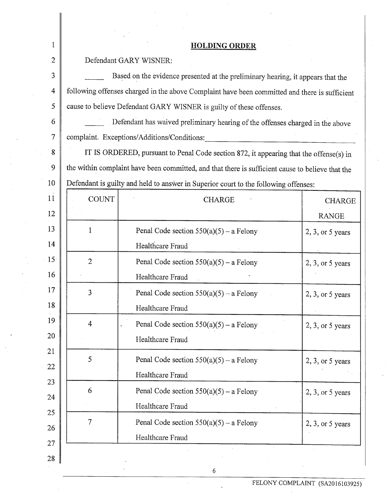| 1               |                                                                                                  |                                           |                     |  |  |
|-----------------|--------------------------------------------------------------------------------------------------|-------------------------------------------|---------------------|--|--|
|                 | <b>HOLDING ORDER</b>                                                                             |                                           |                     |  |  |
| $\overline{2}$  | Defendant GARY WISNER:                                                                           |                                           |                     |  |  |
| 3               | Based on the evidence presented at the preliminary hearing, it appears that the                  |                                           |                     |  |  |
| 4               | following offenses charged in the above Complaint have been committed and there is sufficient    |                                           |                     |  |  |
| 5               | cause to believe Defendant GARY WISNER is guilty of these offenses.                              |                                           |                     |  |  |
| 6               | Defendant has waived preliminary hearing of the offenses charged in the above                    |                                           |                     |  |  |
| $\tau$          | complaint. Exceptions/Additions/Conditions:                                                      |                                           |                     |  |  |
| 8               | IT IS ORDERED, pursuant to Penal Code section 872, it appearing that the offense(s) in           |                                           |                     |  |  |
| 9               | the within complaint have been committed, and that there is sufficient cause to believe that the |                                           |                     |  |  |
| 10              | Defendant is guilty and held to answer in Superior court to the following offenses:              |                                           |                     |  |  |
|                 | <b>COUNT</b>                                                                                     | <b>CHARGE</b>                             | <b>CHARGE</b>       |  |  |
| 12              |                                                                                                  |                                           | <b>RANGE</b>        |  |  |
| 13              | 1                                                                                                | Penal Code section $550(a)(5) - a$ Felony | $2, 3,$ or 5 years  |  |  |
| 14              |                                                                                                  | Healthcare Fraud                          |                     |  |  |
| 15 <sup>°</sup> | $\overline{2}$                                                                                   | Penal Code section $550(a)(5)$ – a Felony | $2, 3,$ or 5 years  |  |  |
| 16              |                                                                                                  | Healthcare Fraud                          |                     |  |  |
| 17              | 3                                                                                                | Penal Code section $550(a)(5)$ – a Felony | $2, 3$ , or 5 years |  |  |
| 18              |                                                                                                  | Healthcare Fraud                          |                     |  |  |
| 19              | 4                                                                                                | Penal Code section $550(a)(5)$ – a Felony | $2, 3,$ or 5 years  |  |  |
| 20              |                                                                                                  | Healthcare Fraud                          |                     |  |  |
|                 | 5                                                                                                | Penal Code section $550(a)(5)$ – a Felony | $2, 3$ , or 5 years |  |  |
|                 |                                                                                                  | Healthcare Fraud                          |                     |  |  |
|                 | 6                                                                                                | Penal Code section $550(a)(5) - a$ Felony | $2, 3$ , or 5 years |  |  |
| 24              |                                                                                                  | Healthcare Fraud                          |                     |  |  |
| 25              | 7                                                                                                | Penal Code section $550(a)(5)$ – a Felony | $2, 3,$ or 5 years  |  |  |
| 26              |                                                                                                  | Healthcare Fraud                          |                     |  |  |

 $\ddot{\phantom{a}}$